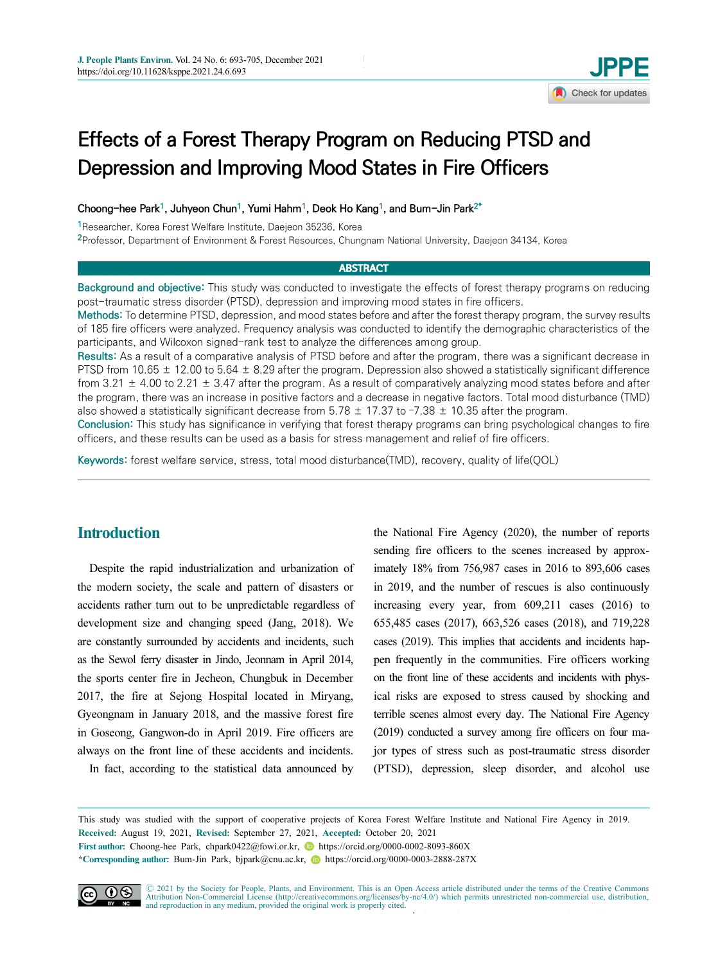# Effects of a Forest Therapy Program on Reducing PTSD and Depression and Improving Mood States in Fire Officers

Choong-hee Park<sup>1</sup>, Juhyeon Chun<sup>1</sup>, Yumi Hahm<sup>1</sup>, Deok Ho Kang<sup>1</sup>, and Bum-Jin Park<sup>2\*</sup>

<sup>1</sup>Researcher, Korea Forest Welfare Institute, Daejeon 35236, Korea

<sup>2</sup>Professor, Department of Environment & Forest Resources, Chungnam National University, Daejeon 34134, Korea

# **ABSTRACT**

Background and objective: This study was conducted to investigate the effects of forest therapy programs on reducing post-traumatic stress disorder (PTSD), depression and improving mood states in fire officers.

Methods: To determine PTSD, depression, and mood states before and after the forest therapy program, the survey results of 185 fire officers were analyzed. Frequency analysis was conducted to identify the demographic characteristics of the participants, and Wilcoxon signed-rank test to analyze the differences among group.

Results: As a result of a comparative analysis of PTSD before and after the program, there was a significant decrease in PTSD from 10.65  $\pm$  12.00 to 5.64  $\pm$  8.29 after the program. Depression also showed a statistically significant difference from 3.21  $\pm$  4.00 to 2.21  $\pm$  3.47 after the program. As a result of comparatively analyzing mood states before and after the program, there was an increase in positive factors and a decrease in negative factors. Total mood disturbance (TMD) also showed a statistically significant decrease from 5.78  $\pm$  17.37 to -7.38  $\pm$  10.35 after the program.

Conclusion: This study has significance in verifying that forest therapy programs can bring psychological changes to fire officers, and these results can be used as a basis for stress management and relief of fire officers.

Keywords: forest welfare service, stress, total mood disturbance(TMD), recovery, quality of life(QOL)

# **Introduction**

Despite the rapid industrialization and urbanization of the modern society, the scale and pattern of disasters or accidents rather turn out to be unpredictable regardless of development size and changing speed (Jang, 2018). We are constantly surrounded by accidents and incidents, such as the Sewol ferry disaster in Jindo, Jeonnam in April 2014, the sports center fire in Jecheon, Chungbuk in December 2017, the fire at Sejong Hospital located in Miryang, Gyeongnam in January 2018, and the massive forest fire in Goseong, Gangwon-do in April 2019. Fire officers are always on the front line of these accidents and incidents.

In fact, according to the statistical data announced by

the National Fire Agency (2020), the number of reports sending fire officers to the scenes increased by approximately 18% from 756,987 cases in 2016 to 893,606 cases in 2019, and the number of rescues is also continuously increasing every year, from 609,211 cases (2016) to 655,485 cases (2017), 663,526 cases (2018), and 719,228 cases (2019). This implies that accidents and incidents happen frequently in the communities. Fire officers working on the front line of these accidents and incidents with physical risks are exposed to stress caused by shocking and terrible scenes almost every day. The National Fire Agency (2019) conducted a survey among fire officers on four major types of stress such as post-traumatic stress disorder (PTSD), depression, sleep disorder, and alcohol use

This study was studied with the support of cooperative projects of Korea Forest Welfare Institute and National Fire Agency in 2019. Received: August 19, 2021, Revised: September 27, 2021, Accepted: October 20, 2021

First author: Choong-hee Park, chpark0422@fowi.or.kr, https://orcid.org/0000-0002-8093-860X

\*Corresponding author: Bum-Jin Park, bjpark@cnu.ac.kr, https://orcid.org/0000-0003-2888-287X



 $\Delta$  tribution Non-Commercial License (http://creativecommons.org/licenses/by-nc/4.0/) which permits unrestricted non-commercial use, distribution, and reproduction in any medium, provided the original work is properly ci Ⓒ 2021 by the Society for People, Plants, and Environment. This is an Open Access article distributed under the terms of the Creative Commons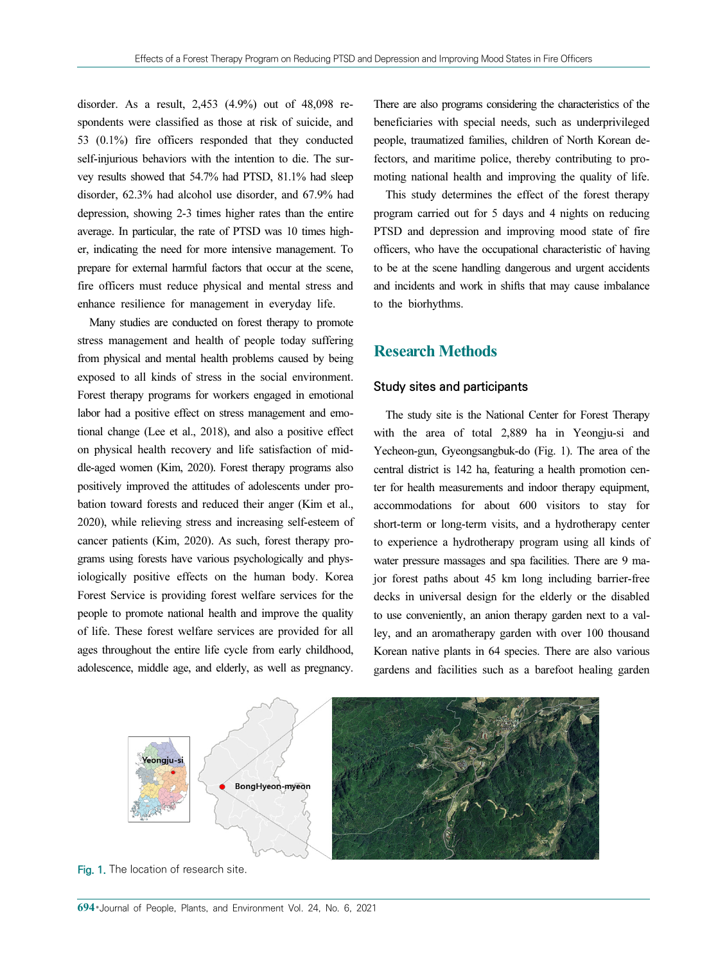disorder. As a result, 2,453 (4.9%) out of 48,098 respondents were classified as those at risk of suicide, and 53 (0.1%) fire officers responded that they conducted self-injurious behaviors with the intention to die. The survey results showed that 54.7% had PTSD, 81.1% had sleep disorder, 62.3% had alcohol use disorder, and 67.9% had depression, showing 2-3 times higher rates than the entire average. In particular, the rate of PTSD was 10 times higher, indicating the need for more intensive management. To prepare for external harmful factors that occur at the scene, fire officers must reduce physical and mental stress and enhance resilience for management in everyday life.

Many studies are conducted on forest therapy to promote stress management and health of people today suffering from physical and mental health problems caused by being exposed to all kinds of stress in the social environment. Forest therapy programs for workers engaged in emotional labor had a positive effect on stress management and emotional change (Lee et al., 2018), and also a positive effect on physical health recovery and life satisfaction of middle-aged women (Kim, 2020). Forest therapy programs also positively improved the attitudes of adolescents under probation toward forests and reduced their anger (Kim et al., 2020), while relieving stress and increasing self-esteem of cancer patients (Kim, 2020). As such, forest therapy programs using forests have various psychologically and physiologically positive effects on the human body. Korea Forest Service is providing forest welfare services for the people to promote national health and improve the quality of life. These forest welfare services are provided for all ages throughout the entire life cycle from early childhood, adolescence, middle age, and elderly, as well as pregnancy.

There are also programs considering the characteristics of the beneficiaries with special needs, such as underprivileged people, traumatized families, children of North Korean defectors, and maritime police, thereby contributing to promoting national health and improving the quality of life.

This study determines the effect of the forest therapy program carried out for 5 days and 4 nights on reducing PTSD and depression and improving mood state of fire officers, who have the occupational characteristic of having to be at the scene handling dangerous and urgent accidents and incidents and work in shifts that may cause imbalance to the biorhythms.

# Research Methods

## Study sites and participants

The study site is the National Center for Forest Therapy with the area of total 2,889 ha in Yeongju-si and Yecheon-gun, Gyeongsangbuk-do (Fig. 1). The area of the central district is 142 ha, featuring a health promotion center for health measurements and indoor therapy equipment, accommodations for about 600 visitors to stay for short-term or long-term visits, and a hydrotherapy center to experience a hydrotherapy program using all kinds of water pressure massages and spa facilities. There are 9 major forest paths about 45 km long including barrier-free decks in universal design for the elderly or the disabled to use conveniently, an anion therapy garden next to a valley, and an aromatherapy garden with over 100 thousand Korean native plants in 64 species. There are also various gardens and facilities such as a barefoot healing garden



Fig. 1. The location of research site.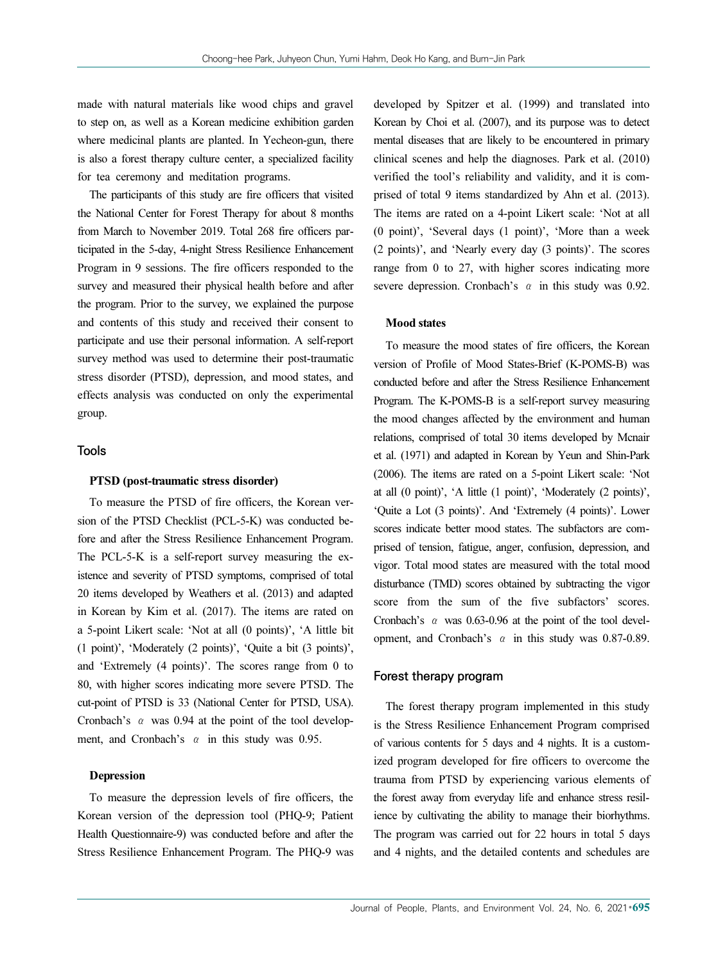made with natural materials like wood chips and gravel to step on, as well as a Korean medicine exhibition garden where medicinal plants are planted. In Yecheon-gun, there is also a forest therapy culture center, a specialized facility for tea ceremony and meditation programs.

The participants of this study are fire officers that visited the National Center for Forest Therapy for about 8 months from March to November 2019. Total 268 fire officers participated in the 5-day, 4-night Stress Resilience Enhancement Program in 9 sessions. The fire officers responded to the survey and measured their physical health before and after the program. Prior to the survey, we explained the purpose and contents of this study and received their consent to participate and use their personal information. A self-report survey method was used to determine their post-traumatic stress disorder (PTSD), depression, and mood states, and effects analysis was conducted on only the experimental group.

## Tools

### PTSD (post-traumatic stress disorder)

To measure the PTSD of fire officers, the Korean version of the PTSD Checklist (PCL-5-K) was conducted before and after the Stress Resilience Enhancement Program. The PCL-5-K is a self-report survey measuring the existence and severity of PTSD symptoms, comprised of total 20 items developed by Weathers et al. (2013) and adapted in Korean by Kim et al. (2017). The items are rated on a 5-point Likert scale: 'Not at all (0 points)', 'A little bit (1 point)', 'Moderately (2 points)', 'Quite a bit (3 points)', and 'Extremely (4 points)'. The scores range from 0 to 80, with higher scores indicating more severe PTSD. The cut-point of PTSD is 33 (National Center for PTSD, USA). Cronbach's  $\alpha$  was 0.94 at the point of the tool development, and Cronbach's  $\alpha$  in this study was 0.95.

## Depression

To measure the depression levels of fire officers, the Korean version of the depression tool (PHQ-9; Patient Health Questionnaire-9) was conducted before and after the Stress Resilience Enhancement Program. The PHQ-9 was developed by Spitzer et al. (1999) and translated into Korean by Choi et al. (2007), and its purpose was to detect mental diseases that are likely to be encountered in primary clinical scenes and help the diagnoses. Park et al. (2010) verified the tool's reliability and validity, and it is comprised of total 9 items standardized by Ahn et al. (2013). The items are rated on a 4-point Likert scale: 'Not at all (0 point)', 'Several days (1 point)', 'More than a week (2 points)', and 'Nearly every day (3 points)'. The scores range from 0 to 27, with higher scores indicating more severe depression. Cronbach's  $\alpha$  in this study was 0.92.

## Mood states

To measure the mood states of fire officers, the Korean version of Profile of Mood States-Brief (K-POMS-B) was conducted before and after the Stress Resilience Enhancement Program. The K-POMS-B is a self-report survey measuring the mood changes affected by the environment and human relations, comprised of total 30 items developed by Mcnair et al. (1971) and adapted in Korean by Yeun and Shin-Park (2006). The items are rated on a 5-point Likert scale: 'Not at all (0 point)', 'A little (1 point)', 'Moderately (2 points)', 'Quite a Lot (3 points)'. And 'Extremely (4 points)'. Lower scores indicate better mood states. The subfactors are comprised of tension, fatigue, anger, confusion, depression, and vigor. Total mood states are measured with the total mood disturbance (TMD) scores obtained by subtracting the vigor score from the sum of the five subfactors' scores. Cronbach's  $\alpha$  was 0.63-0.96 at the point of the tool development, and Cronbach's α in this study was 0.87-0.89.

## Forest therapy program

The forest therapy program implemented in this study is the Stress Resilience Enhancement Program comprised of various contents for 5 days and 4 nights. It is a customized program developed for fire officers to overcome the trauma from PTSD by experiencing various elements of the forest away from everyday life and enhance stress resilience by cultivating the ability to manage their biorhythms. The program was carried out for 22 hours in total 5 days and 4 nights, and the detailed contents and schedules are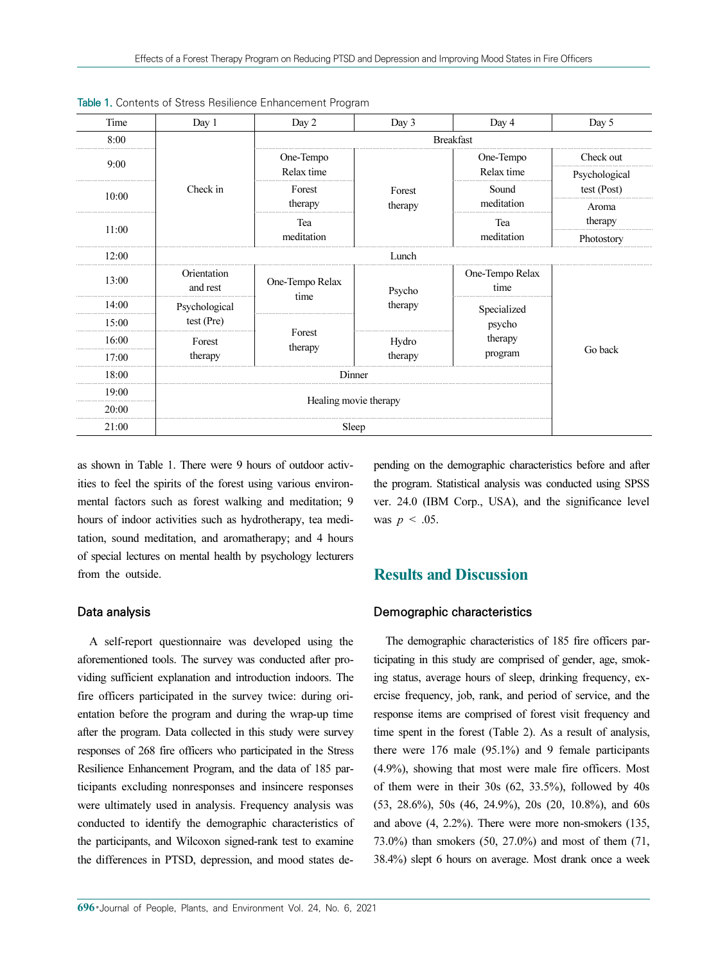| Time  | Day 1         | Day 2                 | Day 3             | Day 4            | Day 5         |  |
|-------|---------------|-----------------------|-------------------|------------------|---------------|--|
| 8:00  |               |                       |                   | <b>Breakfast</b> |               |  |
| 9:00  |               | One-Tempo             |                   | One-Tempo        | Check out     |  |
|       |               | Relax time            |                   | Relax time       | Psychological |  |
| 10:00 | Check in      | Forest                | Forest            | Sound            | test (Post)   |  |
|       |               | therapy               | therapy           | meditation       | Aroma         |  |
| 11:00 |               | Tea                   |                   | Tea              | therapy       |  |
|       |               | meditation            |                   | meditation       | Photostory    |  |
| 12:00 |               |                       | Lunch             |                  |               |  |
| 13:00 | Orientation   | One-Tempo Relax       | Psycho<br>therapy | One-Tempo Relax  |               |  |
|       | and rest      | time                  |                   | time             |               |  |
| 14:00 | Psychological |                       |                   |                  | Specialized   |  |
| 15:00 | test (Pre)    | Forest                |                   | psycho           |               |  |
| 16:00 | Forest        | therapy               | Hydro             | therapy          |               |  |
| 17:00 | therapy       |                       | therapy           |                  | Go back       |  |
| 18:00 |               | Dinner                |                   |                  |               |  |
| 19:00 |               |                       |                   |                  |               |  |
| 20:00 |               | Healing movie therapy |                   |                  |               |  |
| 21:00 |               | Sleep                 |                   |                  |               |  |

Table 1. Contents of Stress Resilience Enhancement Program

as shown in Table 1. There were 9 hours of outdoor activities to feel the spirits of the forest using various environmental factors such as forest walking and meditation; 9 hours of indoor activities such as hydrotherapy, tea meditation, sound meditation, and aromatherapy; and 4 hours of special lectures on mental health by psychology lecturers from the outside.

## Data analysis

A self-report questionnaire was developed using the aforementioned tools. The survey was conducted after providing sufficient explanation and introduction indoors. The fire officers participated in the survey twice: during orientation before the program and during the wrap-up time after the program. Data collected in this study were survey responses of 268 fire officers who participated in the Stress Resilience Enhancement Program, and the data of 185 participants excluding nonresponses and insincere responses were ultimately used in analysis. Frequency analysis was conducted to identify the demographic characteristics of the participants, and Wilcoxon signed-rank test to examine the differences in PTSD, depression, and mood states depending on the demographic characteristics before and after the program. Statistical analysis was conducted using SPSS ver. 24.0 (IBM Corp., USA), and the significance level was  $p < .05$ .

# Results and Discussion

### Demographic characteristics

The demographic characteristics of 185 fire officers participating in this study are comprised of gender, age, smoking status, average hours of sleep, drinking frequency, exercise frequency, job, rank, and period of service, and the response items are comprised of forest visit frequency and time spent in the forest (Table 2). As a result of analysis, there were 176 male (95.1%) and 9 female participants (4.9%), showing that most were male fire officers. Most of them were in their 30s (62, 33.5%), followed by 40s (53, 28.6%), 50s (46, 24.9%), 20s (20, 10.8%), and 60s and above (4, 2.2%). There were more non-smokers (135, 73.0%) than smokers (50, 27.0%) and most of them (71, 38.4%) slept 6 hours on average. Most drank once a week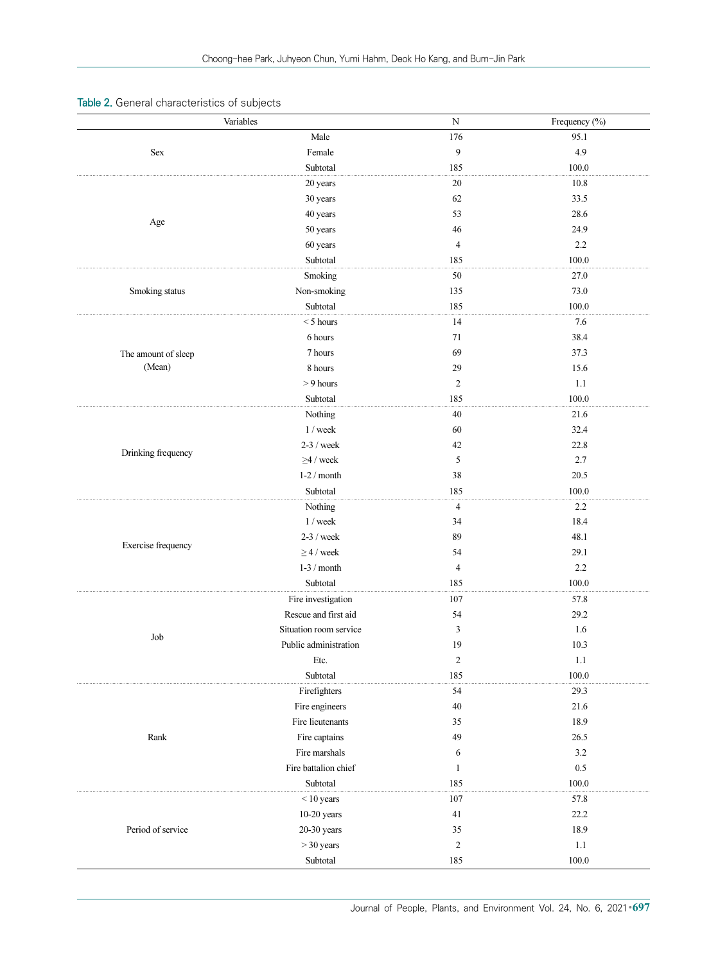# Table 2. General characteristics of subjects

|                                                                                                                                                                                                                                                                                                                                                                                                                                                                                                                                                                                                                                                                                                                                                                                                                                                                                                                     | Variables      | ${\bf N}$<br>Frequency (%) |           |
|---------------------------------------------------------------------------------------------------------------------------------------------------------------------------------------------------------------------------------------------------------------------------------------------------------------------------------------------------------------------------------------------------------------------------------------------------------------------------------------------------------------------------------------------------------------------------------------------------------------------------------------------------------------------------------------------------------------------------------------------------------------------------------------------------------------------------------------------------------------------------------------------------------------------|----------------|----------------------------|-----------|
|                                                                                                                                                                                                                                                                                                                                                                                                                                                                                                                                                                                                                                                                                                                                                                                                                                                                                                                     | Male           | 176                        | 95.1      |
| Sex                                                                                                                                                                                                                                                                                                                                                                                                                                                                                                                                                                                                                                                                                                                                                                                                                                                                                                                 | Female         | 9                          | 4.9       |
|                                                                                                                                                                                                                                                                                                                                                                                                                                                                                                                                                                                                                                                                                                                                                                                                                                                                                                                     | Subtotal       | 185                        | 100.0     |
|                                                                                                                                                                                                                                                                                                                                                                                                                                                                                                                                                                                                                                                                                                                                                                                                                                                                                                                     | 20 years       | $20\,$                     | 10.8      |
|                                                                                                                                                                                                                                                                                                                                                                                                                                                                                                                                                                                                                                                                                                                                                                                                                                                                                                                     | 30 years       | $62\,$                     | 33.5      |
|                                                                                                                                                                                                                                                                                                                                                                                                                                                                                                                                                                                                                                                                                                                                                                                                                                                                                                                     | 40 years       | 53                         | 28.6      |
| Age<br>46<br>50 years<br>$\overline{4}$<br>60 years<br>Subtotal<br>185<br>Smoking<br>$50\,$<br>Non-smoking<br>135<br>Smoking status<br>Subtotal<br>185<br>14<br>$<$ 5 hours<br>6 hours<br>71<br>69<br>7 hours<br>The amount of sleep<br>(Mean)<br>8 hours<br>29<br>$> 9$ hours<br>$\overline{c}$<br>Subtotal<br>185<br>$40\,$<br>Nothing<br>1 / week<br>$60\,$<br>$2-3$ / week<br>42<br>Drinking frequency<br>5<br>$\geq$ 4 / week<br>$1-2$ / month<br>$38\,$<br>Subtotal<br>185<br>Nothing<br>$\overline{4}$<br>1 / week<br>34<br>89<br>$2-3$ / week<br>Exercise frequency<br>$\geq$ 4 / week<br>54<br>$1-3$ / month<br>$\overline{4}$<br>Subtotal<br>185<br>107<br>Fire investigation<br>Rescue and first aid<br>54<br>Situation room service<br>3<br>Job<br>Public administration<br>19<br>$\overline{c}$<br>Etc.<br>Subtotal<br>185<br>Firefighters<br>54<br>Fire engineers<br>$40\,$<br>Fire lieutenants<br>35 |                | 24.9                       |           |
|                                                                                                                                                                                                                                                                                                                                                                                                                                                                                                                                                                                                                                                                                                                                                                                                                                                                                                                     |                |                            | 2.2       |
|                                                                                                                                                                                                                                                                                                                                                                                                                                                                                                                                                                                                                                                                                                                                                                                                                                                                                                                     |                |                            | 100.0     |
|                                                                                                                                                                                                                                                                                                                                                                                                                                                                                                                                                                                                                                                                                                                                                                                                                                                                                                                     |                |                            | 27.0      |
|                                                                                                                                                                                                                                                                                                                                                                                                                                                                                                                                                                                                                                                                                                                                                                                                                                                                                                                     |                |                            | 73.0      |
|                                                                                                                                                                                                                                                                                                                                                                                                                                                                                                                                                                                                                                                                                                                                                                                                                                                                                                                     |                |                            | 100.0     |
|                                                                                                                                                                                                                                                                                                                                                                                                                                                                                                                                                                                                                                                                                                                                                                                                                                                                                                                     |                |                            | 7.6       |
|                                                                                                                                                                                                                                                                                                                                                                                                                                                                                                                                                                                                                                                                                                                                                                                                                                                                                                                     |                |                            | 38.4      |
|                                                                                                                                                                                                                                                                                                                                                                                                                                                                                                                                                                                                                                                                                                                                                                                                                                                                                                                     |                |                            | 37.3      |
|                                                                                                                                                                                                                                                                                                                                                                                                                                                                                                                                                                                                                                                                                                                                                                                                                                                                                                                     |                |                            | 15.6      |
|                                                                                                                                                                                                                                                                                                                                                                                                                                                                                                                                                                                                                                                                                                                                                                                                                                                                                                                     |                |                            | $1.1\,$   |
|                                                                                                                                                                                                                                                                                                                                                                                                                                                                                                                                                                                                                                                                                                                                                                                                                                                                                                                     |                |                            | 100.0     |
|                                                                                                                                                                                                                                                                                                                                                                                                                                                                                                                                                                                                                                                                                                                                                                                                                                                                                                                     |                |                            | 21.6      |
|                                                                                                                                                                                                                                                                                                                                                                                                                                                                                                                                                                                                                                                                                                                                                                                                                                                                                                                     |                |                            | 32.4      |
|                                                                                                                                                                                                                                                                                                                                                                                                                                                                                                                                                                                                                                                                                                                                                                                                                                                                                                                     |                |                            | 22.8      |
|                                                                                                                                                                                                                                                                                                                                                                                                                                                                                                                                                                                                                                                                                                                                                                                                                                                                                                                     |                |                            | 2.7       |
|                                                                                                                                                                                                                                                                                                                                                                                                                                                                                                                                                                                                                                                                                                                                                                                                                                                                                                                     |                |                            | 20.5      |
|                                                                                                                                                                                                                                                                                                                                                                                                                                                                                                                                                                                                                                                                                                                                                                                                                                                                                                                     |                |                            | 100.0     |
|                                                                                                                                                                                                                                                                                                                                                                                                                                                                                                                                                                                                                                                                                                                                                                                                                                                                                                                     |                |                            | 2.2       |
|                                                                                                                                                                                                                                                                                                                                                                                                                                                                                                                                                                                                                                                                                                                                                                                                                                                                                                                     |                |                            | 18.4      |
|                                                                                                                                                                                                                                                                                                                                                                                                                                                                                                                                                                                                                                                                                                                                                                                                                                                                                                                     |                |                            | 48.1      |
|                                                                                                                                                                                                                                                                                                                                                                                                                                                                                                                                                                                                                                                                                                                                                                                                                                                                                                                     |                |                            | 29.1      |
|                                                                                                                                                                                                                                                                                                                                                                                                                                                                                                                                                                                                                                                                                                                                                                                                                                                                                                                     |                |                            | $2.2\,$   |
|                                                                                                                                                                                                                                                                                                                                                                                                                                                                                                                                                                                                                                                                                                                                                                                                                                                                                                                     |                |                            | 100.0     |
|                                                                                                                                                                                                                                                                                                                                                                                                                                                                                                                                                                                                                                                                                                                                                                                                                                                                                                                     |                |                            | 57.8      |
|                                                                                                                                                                                                                                                                                                                                                                                                                                                                                                                                                                                                                                                                                                                                                                                                                                                                                                                     |                |                            | 29.2      |
|                                                                                                                                                                                                                                                                                                                                                                                                                                                                                                                                                                                                                                                                                                                                                                                                                                                                                                                     |                |                            | 1.6       |
|                                                                                                                                                                                                                                                                                                                                                                                                                                                                                                                                                                                                                                                                                                                                                                                                                                                                                                                     |                |                            | $10.3\,$  |
|                                                                                                                                                                                                                                                                                                                                                                                                                                                                                                                                                                                                                                                                                                                                                                                                                                                                                                                     |                |                            | 1.1       |
|                                                                                                                                                                                                                                                                                                                                                                                                                                                                                                                                                                                                                                                                                                                                                                                                                                                                                                                     |                |                            | 100.0     |
|                                                                                                                                                                                                                                                                                                                                                                                                                                                                                                                                                                                                                                                                                                                                                                                                                                                                                                                     |                |                            | 29.3      |
|                                                                                                                                                                                                                                                                                                                                                                                                                                                                                                                                                                                                                                                                                                                                                                                                                                                                                                                     |                |                            | 21.6      |
|                                                                                                                                                                                                                                                                                                                                                                                                                                                                                                                                                                                                                                                                                                                                                                                                                                                                                                                     |                |                            | 18.9      |
|                                                                                                                                                                                                                                                                                                                                                                                                                                                                                                                                                                                                                                                                                                                                                                                                                                                                                                                     |                | 49                         | 26.5      |
|                                                                                                                                                                                                                                                                                                                                                                                                                                                                                                                                                                                                                                                                                                                                                                                                                                                                                                                     |                | 6                          | $3.2\,$   |
|                                                                                                                                                                                                                                                                                                                                                                                                                                                                                                                                                                                                                                                                                                                                                                                                                                                                                                                     |                | $\mathbf{1}$               | $0.5\,$   |
|                                                                                                                                                                                                                                                                                                                                                                                                                                                                                                                                                                                                                                                                                                                                                                                                                                                                                                                     |                | 185                        | 100.0     |
|                                                                                                                                                                                                                                                                                                                                                                                                                                                                                                                                                                                                                                                                                                                                                                                                                                                                                                                     |                | 107                        | 57.8      |
|                                                                                                                                                                                                                                                                                                                                                                                                                                                                                                                                                                                                                                                                                                                                                                                                                                                                                                                     |                | 41                         | 22.2      |
|                                                                                                                                                                                                                                                                                                                                                                                                                                                                                                                                                                                                                                                                                                                                                                                                                                                                                                                     |                | 35                         | 18.9      |
| Fire captains<br>Rank<br>Fire marshals<br>Fire battalion chief<br>Subtotal<br>$<$ 10 years<br>$10-20$ years<br>$20-30$ years<br>Period of service<br>$>$ 30 years<br>Subtotal                                                                                                                                                                                                                                                                                                                                                                                                                                                                                                                                                                                                                                                                                                                                       | $\overline{c}$ | 1.1                        |           |
|                                                                                                                                                                                                                                                                                                                                                                                                                                                                                                                                                                                                                                                                                                                                                                                                                                                                                                                     |                | 185                        | $100.0\,$ |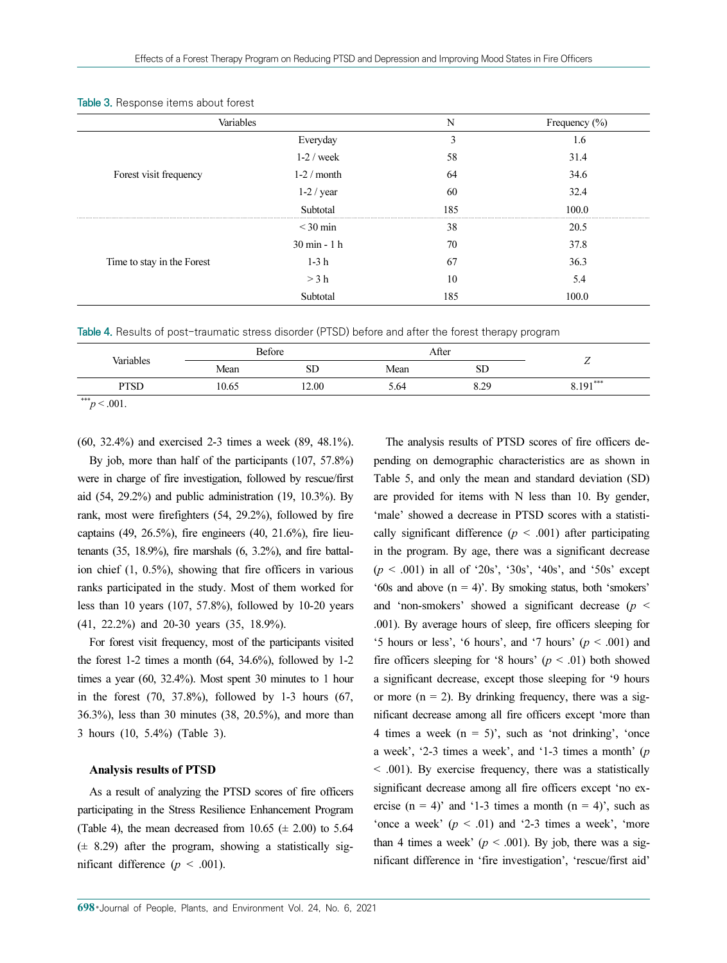|                            |                                                                                                                                                                                         | N    | Frequency $(\% )$ |
|----------------------------|-----------------------------------------------------------------------------------------------------------------------------------------------------------------------------------------|------|-------------------|
|                            | Everyday                                                                                                                                                                                | 3    | 1.6               |
|                            | $1-2$ / week                                                                                                                                                                            | 58   | 31.4              |
| Forest visit frequency     | Variables<br>$1-2/month$<br>64<br>$1-2$ / year<br>60<br>Subtotal<br>185<br>$<$ 30 min<br>38<br>$30 \text{ min} - 1 \text{ h}$<br>70<br>$1-3h$<br>67<br>$>$ 3 h<br>10<br>Subtotal<br>185 | 34.6 |                   |
|                            |                                                                                                                                                                                         |      | 32.4              |
|                            |                                                                                                                                                                                         |      | 100.0             |
|                            |                                                                                                                                                                                         |      | 20.5              |
|                            |                                                                                                                                                                                         |      | 37.8              |
| Time to stay in the Forest |                                                                                                                                                                                         |      | 36.3              |
|                            |                                                                                                                                                                                         |      | 5.4               |
|                            |                                                                                                                                                                                         |      | 100.0             |

#### Table 3. Response items about forest

Table 4. Results of post-traumatic stress disorder (PTSD) before and after the forest therapy program

| Variables          |       | Before |      | After |            |
|--------------------|-------|--------|------|-------|------------|
|                    | Mean  | SD     | Mean | ЫU    | -          |
| PTSD               | 10.65 | 12.00  | 5.64 | 8.29  | $8.191***$ |
| and a state of the |       |        |      |       |            |

 $*^{**}p < .001$ .

(60, 32.4%) and exercised 2-3 times a week (89, 48.1%).

By job, more than half of the participants (107, 57.8%) were in charge of fire investigation, followed by rescue/first aid (54, 29.2%) and public administration (19, 10.3%). By rank, most were firefighters (54, 29.2%), followed by fire captains (49, 26.5%), fire engineers (40, 21.6%), fire lieutenants (35, 18.9%), fire marshals (6, 3.2%), and fire battalion chief (1, 0.5%), showing that fire officers in various ranks participated in the study. Most of them worked for less than 10 years (107, 57.8%), followed by 10-20 years (41, 22.2%) and 20-30 years (35, 18.9%).

For forest visit frequency, most of the participants visited the forest 1-2 times a month  $(64, 34.6\%)$ , followed by 1-2 times a year (60, 32.4%). Most spent 30 minutes to 1 hour in the forest  $(70, 37.8\%)$ , followed by 1-3 hours  $(67, 67.5\%)$ 36.3%), less than 30 minutes (38, 20.5%), and more than 3 hours (10, 5.4%) (Table 3).

#### Analysis results of PTSD

As a result of analyzing the PTSD scores of fire officers participating in the Stress Resilience Enhancement Program (Table 4), the mean decreased from  $10.65 \ (\pm 2.00)$  to 5.64  $(\pm 8.29)$  after the program, showing a statistically significant difference ( $p < .001$ ).

The analysis results of PTSD scores of fire officers depending on demographic characteristics are as shown in Table 5, and only the mean and standard deviation (SD) are provided for items with N less than 10. By gender, 'male' showed a decrease in PTSD scores with a statistically significant difference ( $p < .001$ ) after participating in the program. By age, there was a significant decrease  $(p < .001)$  in all of '20s', '30s', '40s', and '50s' except '60s and above  $(n = 4)$ '. By smoking status, both 'smokers' and 'non-smokers' showed a significant decrease ( $p \leq$ .001). By average hours of sleep, fire officers sleeping for '5 hours or less', '6 hours', and '7 hours' ( $p < .001$ ) and fire officers sleeping for '8 hours' ( $p < .01$ ) both showed a significant decrease, except those sleeping for '9 hours or more  $(n = 2)$ . By drinking frequency, there was a significant decrease among all fire officers except 'more than 4 times a week  $(n = 5)$ ', such as 'not drinking', 'once a week', '2-3 times a week', and '1-3 times a month' (p < .001). By exercise frequency, there was a statistically significant decrease among all fire officers except 'no exercise  $(n = 4)$ ' and '1-3 times a month  $(n = 4)$ ', such as 'once a week'  $(p < .01)$  and '2-3 times a week', 'more than 4 times a week' ( $p < .001$ ). By job, there was a significant difference in 'fire investigation', 'rescue/first aid'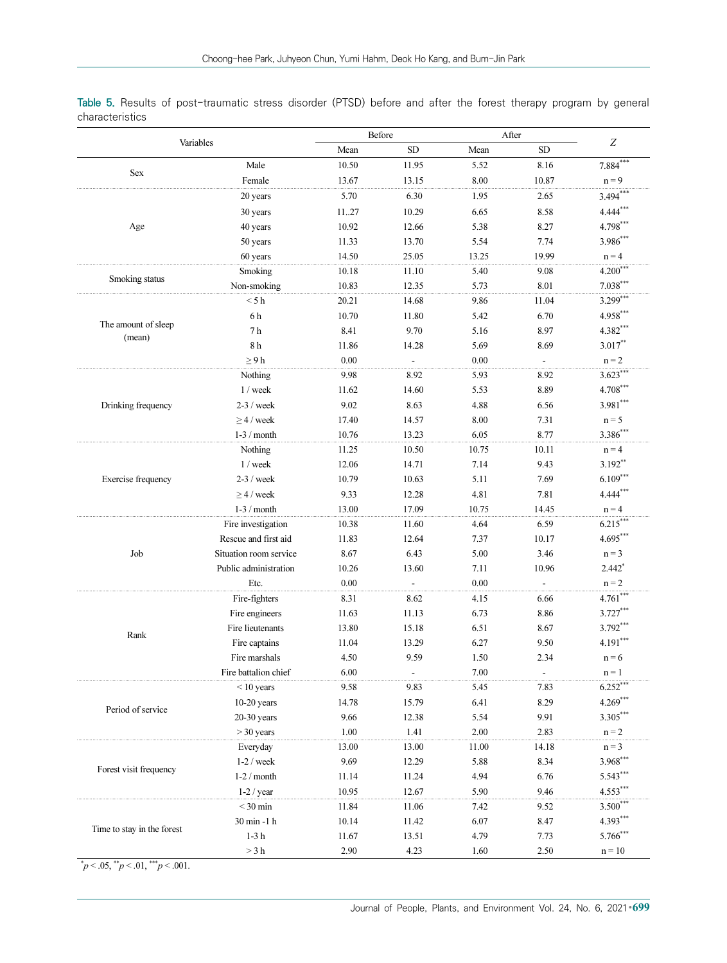Table 5. Results of post-traumatic stress disorder (PTSD) before and after the forest therapy program by general characteristics

| Variables                     |                        | Before   |                | After |                           |                  |
|-------------------------------|------------------------|----------|----------------|-------|---------------------------|------------------|
|                               |                        | Mean     | <b>SD</b>      | Mean  | <b>SD</b>                 | $\boldsymbol{Z}$ |
|                               | Male                   | 10.50    | 11.95          | 5.52  | 8.16                      | $7.884$ ***      |
| Sex                           | Female                 | 13.67    | 13.15          | 8.00  | 10.87                     | $n = 9$          |
|                               | 20 years               | 5.70     | 6.30           | 1.95  | 2.65                      | $3.494***$       |
|                               | 30 years               | 1127     | 10.29          | 6.65  | 8.58                      | $4.444***$       |
| Age                           | 40 years               | 10.92    | 12.66          | 5.38  | 8.27                      | $4.798***$       |
|                               | 50 years               | 11.33    | 13.70          | 5.54  | 7.74                      | 3.986***         |
|                               | 60 years               | 14.50    | 25.05          | 13.25 | 19.99                     | $n = 4$          |
|                               | Smoking                | 10.18    | 11.10          | 5.40  | 9.08                      | $4.200***$       |
| Smoking status                | Non-smoking            | 10.83    | 12.35          | 5.73  | 8.01                      | $7.038***$       |
|                               | < 5 h                  | 20.21    | 14.68          | 9.86  | 11.04                     | $3.299***$       |
|                               | 6h                     | 10.70    | 11.80          | 5.42  | 6.70                      | $4.958***$       |
| The amount of sleep<br>(mean) | 7 <sub>h</sub>         | 8.41     | 9.70           | 5.16  | 8.97                      | 4.382***         |
|                               | 8h                     | 11.86    | 14.28          | 5.69  | 8.69                      | $3.017**$        |
|                               | $\geq 9$ h             | 0.00     | $\blacksquare$ | 0.00  | $\mathbb{Z}^{\mathbb{Z}}$ | $n = 2$          |
|                               | Nothing                | 9.98     | 8.92           | 5.93  | 8.92                      | $3.623***$       |
|                               | $1$ / week             | 11.62    | 14.60          | 5.53  | 8.89                      | 4.708***         |
| Drinking frequency            | $2-3$ / week           | 9.02     | 8.63           | 4.88  | 6.56                      | $3.981***$       |
|                               | $\geq$ 4 / week        | 17.40    | 14.57          | 8.00  | 7.31                      | $n = 5$          |
|                               | $1-3$ / month          | 10.76    | 13.23          | 6.05  | 8.77                      | $3.386***$       |
|                               | Nothing                | 11.25    | 10.50          | 10.75 | 10.11                     | $n = 4$          |
|                               | $1$ / week             | 12.06    | 14.71          | 7.14  | 9.43                      | $3.192***$       |
| Exercise frequency            | $2-3$ / week           | 10.79    | 10.63          | 5.11  | 7.69                      | $6.109***$       |
|                               | $\geq$ 4 / week        | 9.33     | 12.28          | 4.81  | 7.81                      | $4.444***$       |
|                               | $1-3$ / month          | 13.00    | 17.09          | 10.75 | 14.45                     | $n = 4$          |
|                               | Fire investigation     | 10.38    | 11.60          | 4.64  | 6.59                      | $6.215***$       |
|                               | Rescue and first aid   | 11.83    | 12.64          | 7.37  | 10.17                     | 4.695***         |
| Job                           | Situation room service | 8.67     | 6.43           | 5.00  | 3.46                      | $n = 3$          |
|                               | Public administration  | 10.26    | 13.60          | 7.11  | 10.96                     | $2.442*$         |
|                               | Etc.                   | $0.00\,$ |                | 0.00  | $\blacksquare$            | $n = 2$          |
|                               | Fire-fighters          | 8.31     | 8.62           | 4.15  | 6.66                      | $4.761***$       |
|                               | Fire engineers         | 11.63    | 11.13          | 6.73  | 8.86                      | 3.727***         |
| Rank                          | Fire lieutenants       | 13.80    | 15.18          | 6.51  | 8.67                      | 3.792***         |
|                               | Fire captains          | 11.04    | 13.29          | 6.27  | 9.50                      | $4.191***$       |
|                               | Fire marshals          | 4.50     | 9.59           | 1.50  | 2.34                      | $n = 6$          |
|                               | Fire battalion chief   | 6.00     |                | 7.00  |                           | $n = 1$          |
|                               | $<$ 10 years           | 9.58     | 9.83           | 5.45  | 7.83                      | $6.252***$       |
| Period of service             | $10-20$ years          | 14.78    | 15.79          | 6.41  | 8.29                      | $4.269***$       |
|                               | $20-30$ years          | 9.66     | 12.38          | 5.54  | 9.91                      | $3.305***$       |
|                               | $>$ 30 years           | 1.00     | 1.41           | 2.00  | 2.83                      | $n = 2$          |
|                               | Everyday               | 13.00    | 13.00          | 11.00 | 14.18                     | $n = 3$          |
| Forest visit frequency        | $1-2$ / week           | 9.69     | 12.29          | 5.88  | 8.34                      | $3.968***$       |
|                               | $1-2/$ month           | 11.14    | 11.24          | 4.94  | 6.76                      | 5.543***         |
|                               | $1-2$ / year           | 10.95    | 12.67          | 5.90  | 9.46                      | 4.553***         |
|                               | $<$ 30 min             | 11.84    | 11.06          | 7.42  | 9.52                      | $3.500***$       |
| Time to stay in the forest    | 30 min -1 h            | 10.14    | 11.42          | 6.07  | 8.47                      | 4.393***         |
|                               | $1-3\ \mathrm{h}$      | 11.67    | 13.51          | 4.79  | 7.73                      | 5.766***         |
|                               | $>3\ \mathrm{h}$       | 2.90     | 4.23           | 1.60  | 2.50                      | $n = 10$         |

 $\mu^* p < .05, \mu^* p < .01, \mu^* p < .001.$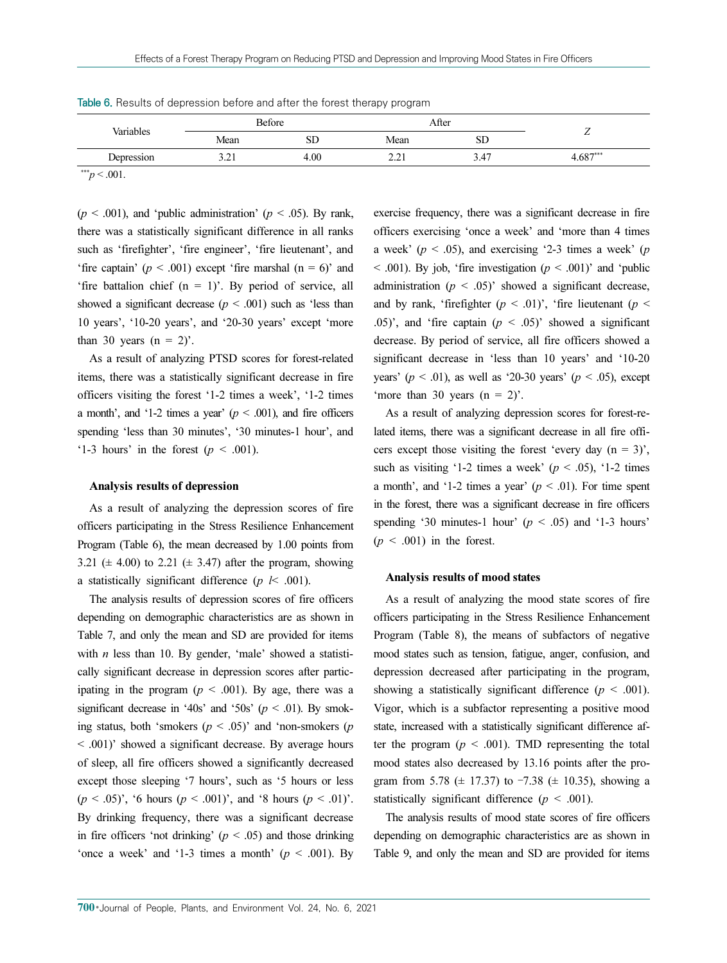| Variables  | Before        |      | After                   |                                  |            |
|------------|---------------|------|-------------------------|----------------------------------|------------|
|            | Mean          | SD   | Mean                    | $\alpha$ r<br>SD                 | -          |
| Depression | 2.21<br>⊥ ک∙ر | 4.00 | $\sim$ $\sim$<br>ر سے د | $\overline{A}$<br>$\sim$<br>، 4. | $4.687***$ |

Table 6. Results of depression before and after the forest therapy program

 $*^{**}p < .001$ .

 $(p < .001)$ , and 'public administration'  $(p < .05)$ . By rank, there was a statistically significant difference in all ranks such as 'firefighter', 'fire engineer', 'fire lieutenant', and 'fire captain' ( $p < .001$ ) except 'fire marshal ( $n = 6$ )' and 'fire battalion chief  $(n = 1)$ '. By period of service, all showed a significant decrease ( $p < .001$ ) such as 'less than 10 years', '10-20 years', and '20-30 years' except 'more than 30 years  $(n = 2)$ .

As a result of analyzing PTSD scores for forest-related items, there was a statistically significant decrease in fire officers visiting the forest '1-2 times a week', '1-2 times a month', and '1-2 times a year' ( $p < .001$ ), and fire officers spending 'less than 30 minutes', '30 minutes-1 hour', and '1-3 hours' in the forest  $(p < .001)$ .

#### Analysis results of depression

As a result of analyzing the depression scores of fire officers participating in the Stress Resilience Enhancement Program (Table 6), the mean decreased by 1.00 points from 3.21 ( $\pm$  4.00) to 2.21 ( $\pm$  3.47) after the program, showing a statistically significant difference ( $p \leq .001$ ).

The analysis results of depression scores of fire officers depending on demographic characteristics are as shown in Table 7, and only the mean and SD are provided for items with  $n$  less than 10. By gender, 'male' showed a statistically significant decrease in depression scores after participating in the program ( $p < .001$ ). By age, there was a significant decrease in '40s' and '50s' ( $p < .01$ ). By smoking status, both 'smokers ( $p < .05$ )' and 'non-smokers ( $p$ < .001)' showed a significant decrease. By average hours of sleep, all fire officers showed a significantly decreased except those sleeping '7 hours', such as '5 hours or less  $(p < .05)$ ', '6 hours  $(p < .001)$ ', and '8 hours  $(p < .01)$ '. By drinking frequency, there was a significant decrease in fire officers 'not drinking' ( $p < .05$ ) and those drinking 'once a week' and '1-3 times a month' ( $p < .001$ ). By

exercise frequency, there was a significant decrease in fire officers exercising 'once a week' and 'more than 4 times a week' ( $p < .05$ ), and exercising '2-3 times a week' ( $p$  $<$  0.01). By job, 'fire investigation ( $p < 0.001$ )' and 'public administration ( $p < .05$ )' showed a significant decrease, and by rank, 'firefighter  $(p < .01)$ ', 'fire lieutenant  $(p < .01)$ ' .05)', and 'fire captain  $(p < .05)$ ' showed a significant decrease. By period of service, all fire officers showed a significant decrease in 'less than 10 years' and '10-20 years' ( $p < .01$ ), as well as '20-30 years' ( $p < .05$ ), except 'more than 30 years  $(n = 2)$ '.

As a result of analyzing depression scores for forest-related items, there was a significant decrease in all fire officers except those visiting the forest 'every day  $(n = 3)$ ', such as visiting '1-2 times a week' ( $p < .05$ ), '1-2 times a month', and '1-2 times a year'  $(p < .01)$ . For time spent in the forest, there was a significant decrease in fire officers spending '30 minutes-1 hour' ( $p < .05$ ) and '1-3 hours'  $(p < .001)$  in the forest.

#### Analysis results of mood states

As a result of analyzing the mood state scores of fire officers participating in the Stress Resilience Enhancement Program (Table 8), the means of subfactors of negative mood states such as tension, fatigue, anger, confusion, and depression decreased after participating in the program, showing a statistically significant difference ( $p < .001$ ). Vigor, which is a subfactor representing a positive mood state, increased with a statistically significant difference after the program ( $p < .001$ ). TMD representing the total mood states also decreased by 13.16 points after the program from 5.78 ( $\pm$  17.37) to -7.38 ( $\pm$  10.35), showing a statistically significant difference ( $p < .001$ ).

The analysis results of mood state scores of fire officers depending on demographic characteristics are as shown in Table 9, and only the mean and SD are provided for items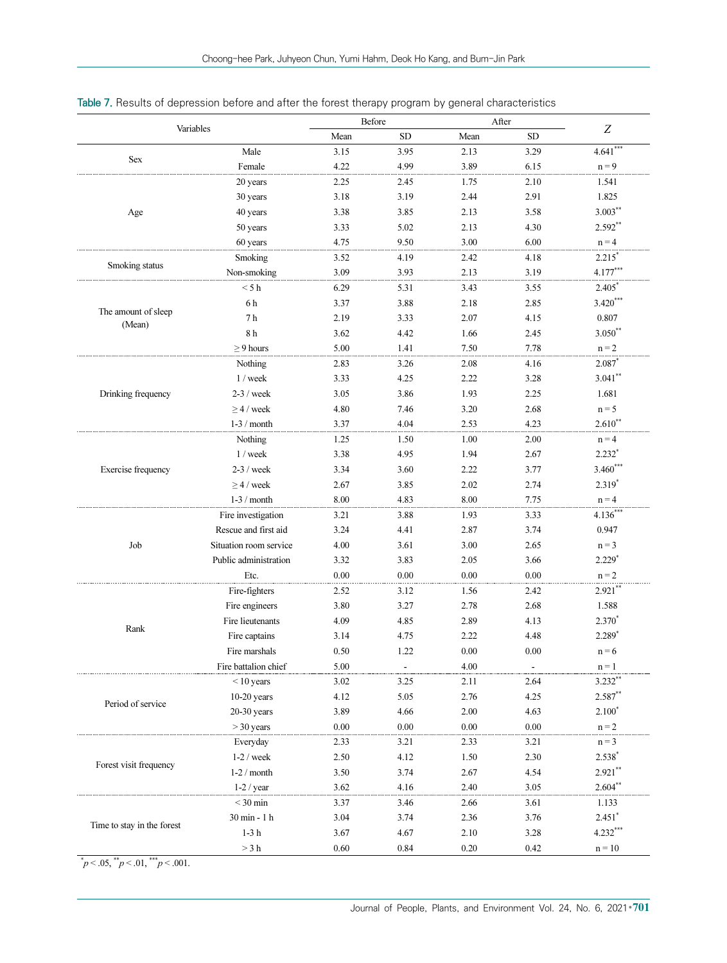|                            | Before                 |          |           | After    |          |             |
|----------------------------|------------------------|----------|-----------|----------|----------|-------------|
| Variables                  |                        | Mean     | <b>SD</b> | Mean     | SD       | Z           |
|                            | Male                   | 3.15     | 3.95      | 2.13     | 3.29     | $4.641$ *** |
| <b>Sex</b>                 | Female                 | 4.22     | 4.99      | 3.89     | 6.15     | $n = 9$     |
|                            | 20 years               | 2.25     | 2.45      | 1.75     | 2.10     | 1.541       |
|                            | 30 years               | 3.18     | 3.19      | 2.44     | 2.91     | 1.825       |
| Age                        | 40 years               | 3.38     | 3.85      | 2.13     | 3.58     | $3.003***$  |
|                            | 50 years               | 3.33     | 5.02      | 2.13     | 4.30     | $2.592**$   |
|                            | 60 years               | 4.75     | 9.50      | 3.00     | 6.00     | $n = 4$     |
|                            | Smoking                | 3.52     | 4.19      | 2.42     | 4.18     | $2.215*$    |
| Smoking status             | Non-smoking            | 3.09     | 3.93      | 2.13     | 3.19     | $4.177***$  |
|                            | < 5 h                  | 6.29     | 5.31      | 3.43     | 3.55     | $2.405*$    |
|                            | 6h                     | 3.37     | 3.88      | 2.18     | 2.85     | $3.420***$  |
| The amount of sleep        | 7 <sub>h</sub>         | 2.19     | 3.33      | 2.07     | 4.15     | 0.807       |
| (Mean)                     | 8 <sub>h</sub>         | 3.62     | 4.42      | 1.66     | 2.45     | $3.050**$   |
|                            | $\geq$ 9 hours         | 5.00     | 1.41      | 7.50     | 7.78     | $n = 2$     |
|                            | Nothing                | 2.83     | 3.26      | 2.08     | 4.16     | $2.087*$    |
|                            | $1$ / week             | 3.33     | 4.25      | 2.22     | 3.28     | $3.041**$   |
| Drinking frequency         | $2-3$ / week           | 3.05     | 3.86      | 1.93     | 2.25     | 1.681       |
|                            | $\geq$ 4 / week        | 4.80     | 7.46      | 3.20     | 2.68     | $n = 5$     |
|                            | $1-3$ / month          | 3.37     | 4.04      | 2.53     | 4.23     | $2.610**$   |
|                            | Nothing                | 1.25     | 1.50      | 1.00     | 2.00     | $n = 4$     |
|                            | 1 / week               | 3.38     | 4.95      | 1.94     | 2.67     | $2.232*$    |
| Exercise frequency         | $2-3$ / week           | 3.34     | 3.60      | 2.22     | 3.77     | $3.460***$  |
|                            | $\geq$ 4 / week        | 2.67     | 3.85      | 2.02     | 2.74     | $2.319*$    |
|                            | $1-3$ / month          | 8.00     | 4.83      | 8.00     | 7.75     | $n = 4$     |
|                            | Fire investigation     | 3.21     | 3.88      | 1.93     | 3.33     | $4.136***$  |
|                            | Rescue and first aid   | 3.24     | 4.41      | 2.87     | 3.74     | 0.947       |
| Job                        | Situation room service | 4.00     | 3.61      | 3.00     | 2.65     | $n = 3$     |
|                            | Public administration  | 3.32     | 3.83      | 2.05     | 3.66     | $2.229*$    |
|                            | Etc.                   | 0.00     | 0.00      | 0.00     | 0.00     | $n = 2$     |
|                            | Fire-fighters          | 2.52     | 3.12      | 1.56     | 2.42     | $2.921$ **  |
|                            | Fire engineers         | 3.80     | 3.27      | 2.78     | 2.68     | 1.588       |
|                            | Fire lieutenants       | 4.09     | 4.85      | 2.89     | 4.13     | $2.370*$    |
| Rank                       | Fire captains          | 3.14     | 4.75      | 2.22     | 4.48     | 2.289*      |
|                            | Fire marshals          | 0.50     | 1.22      | 0.00     | 0.00     | $n = 6$     |
|                            | Fire battalion chief   | 5.00     |           | 4.00     |          | $n = 1$     |
|                            | $<$ 10 years           | 3.02     | 3.25      | 2.11     | 2.64     | $3.232**$   |
|                            | $10-20$ years          | 4.12     | 5.05      | 2.76     | 4.25     | 2.587**     |
| Period of service          | $20-30$ years          | 3.89     | 4.66      | 2.00     | 4.63     | $2.100*$    |
|                            | $>$ 30 years           | $0.00\,$ | 0.00      | $0.00\,$ | $0.00\,$ | $n = 2$     |
|                            | Everyday               | 2.33     | 3.21      | 2.33     | 3.21     | $n = 3$     |
|                            | $1-2$ / week           | 2.50     | 4.12      | 1.50     | 2.30     | $2.538*$    |
| Forest visit frequency     | $1-2$ / month          | 3.50     | 3.74      | 2.67     | 4.54     | $2.921**$   |
|                            | $1-2$ / year           | 3.62     | 4.16      | 2.40     | 3.05     | $2.604**$   |
|                            | $<$ 30 min             | 3.37     | 3.46      | 2.66     | 3.61     | 1.133       |
|                            | 30 min - 1 h           | 3.04     | 3.74      | 2.36     | 3.76     | $2.451$ *   |
| Time to stay in the forest | $1-3h$                 | 3.67     | 4.67      | 2.10     | 3.28     | $4.232***$  |
|                            | $> 3 \ \rm h$          | 0.60     | 0.84      | $0.20\,$ | 0.42     | $n = 10$    |

|  | Table 7. Results of depression before and after the forest therapy program by general characteristics |  |  |
|--|-------------------------------------------------------------------------------------------------------|--|--|
|  |                                                                                                       |  |  |

 $\mu$  < .05,  $\mu$  < .01,  $\mu$  < .001.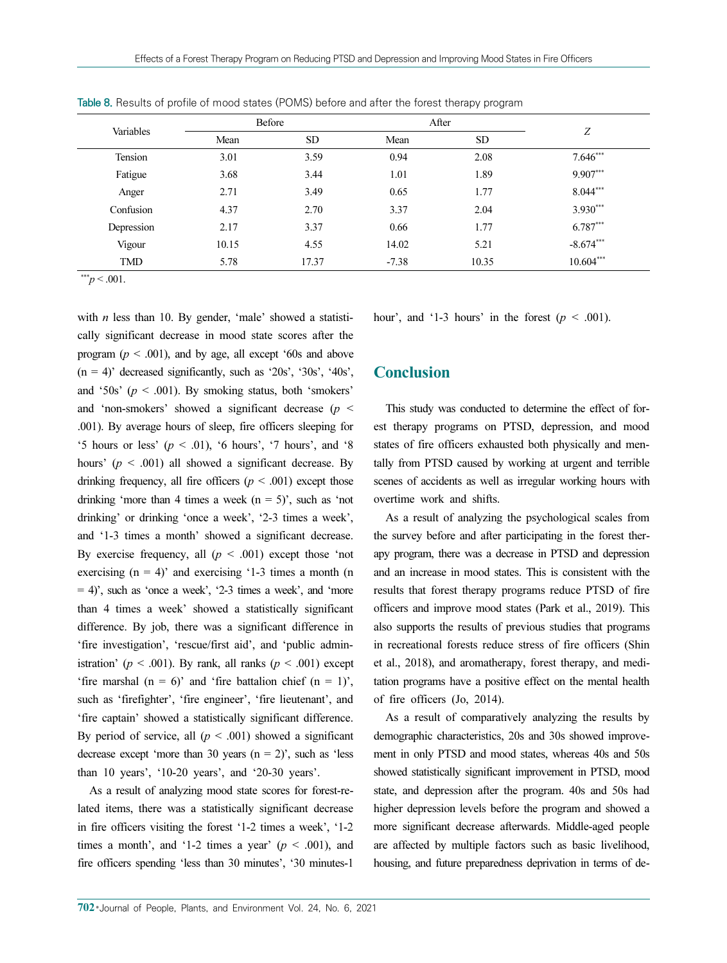| Variables  |       | Before    |         | After     |             |
|------------|-------|-----------|---------|-----------|-------------|
|            | Mean  | <b>SD</b> | Mean    | <b>SD</b> | Ζ           |
| Tension    | 3.01  | 3.59      | 0.94    | 2.08      | $7.646***$  |
| Fatigue    | 3.68  | 3.44      | 1.01    | 1.89      | 9.907***    |
| Anger      | 2.71  | 3.49      | 0.65    | 1.77      | $8.044***$  |
| Confusion  | 4.37  | 2.70      | 3.37    | 2.04      | 3.930***    |
| Depression | 2.17  | 3.37      | 0.66    | 1.77      | 6.787***    |
| Vigour     | 10.15 | 4.55      | 14.02   | 5.21      | $-8.674***$ |
| <b>TMD</b> | 5.78  | 17.37     | $-7.38$ | 10.35     | $10.604***$ |

Table 8. Results of profile of mood states (POMS) before and after the forest therapy program

 $*^{**}p < .001$ .

with  $n$  less than 10. By gender, 'male' showed a statistically significant decrease in mood state scores after the program ( $p < .001$ ), and by age, all except '60s and above  $(n = 4)$ ' decreased significantly, such as '20s', '30s', '40s', and '50s'  $(p < .001)$ . By smoking status, both 'smokers' and 'non-smokers' showed a significant decrease ( $p <$ .001). By average hours of sleep, fire officers sleeping for '5 hours or less' ( $p < .01$ ), '6 hours', '7 hours', and '8 hours' ( $p < .001$ ) all showed a significant decrease. By drinking frequency, all fire officers ( $p \le 0.001$ ) except those drinking 'more than 4 times a week  $(n = 5)$ ', such as 'not drinking' or drinking 'once a week', '2-3 times a week', and '1-3 times a month' showed a significant decrease. By exercise frequency, all  $(p < .001)$  except those 'not exercising  $(n = 4)$ ' and exercising '1-3 times a month  $(n = 4)$ '  $= 4$ )', such as 'once a week', '2-3 times a week', and 'more than 4 times a week' showed a statistically significant difference. By job, there was a significant difference in 'fire investigation', 'rescue/first aid', and 'public administration' ( $p < .001$ ). By rank, all ranks ( $p < .001$ ) except 'fire marshal  $(n = 6)$ ' and 'fire battalion chief  $(n = 1)$ ', such as 'firefighter', 'fire engineer', 'fire lieutenant', and 'fire captain' showed a statistically significant difference. By period of service, all  $(p < .001)$  showed a significant decrease except 'more than 30 years  $(n = 2)$ ', such as 'less than 10 years', '10-20 years', and '20-30 years'.

As a result of analyzing mood state scores for forest-related items, there was a statistically significant decrease in fire officers visiting the forest '1-2 times a week', '1-2 times a month', and '1-2 times a year' ( $p < .001$ ), and fire officers spending 'less than 30 minutes', '30 minutes-1

hour', and '1-3 hours' in the forest ( $p < .001$ ).

# **Conclusion**

This study was conducted to determine the effect of forest therapy programs on PTSD, depression, and mood states of fire officers exhausted both physically and mentally from PTSD caused by working at urgent and terrible scenes of accidents as well as irregular working hours with overtime work and shifts.

As a result of analyzing the psychological scales from the survey before and after participating in the forest therapy program, there was a decrease in PTSD and depression and an increase in mood states. This is consistent with the results that forest therapy programs reduce PTSD of fire officers and improve mood states (Park et al., 2019). This also supports the results of previous studies that programs in recreational forests reduce stress of fire officers (Shin et al., 2018), and aromatherapy, forest therapy, and meditation programs have a positive effect on the mental health of fire officers (Jo, 2014).

As a result of comparatively analyzing the results by demographic characteristics, 20s and 30s showed improvement in only PTSD and mood states, whereas 40s and 50s showed statistically significant improvement in PTSD, mood state, and depression after the program. 40s and 50s had higher depression levels before the program and showed a more significant decrease afterwards. Middle-aged people are affected by multiple factors such as basic livelihood, housing, and future preparedness deprivation in terms of de-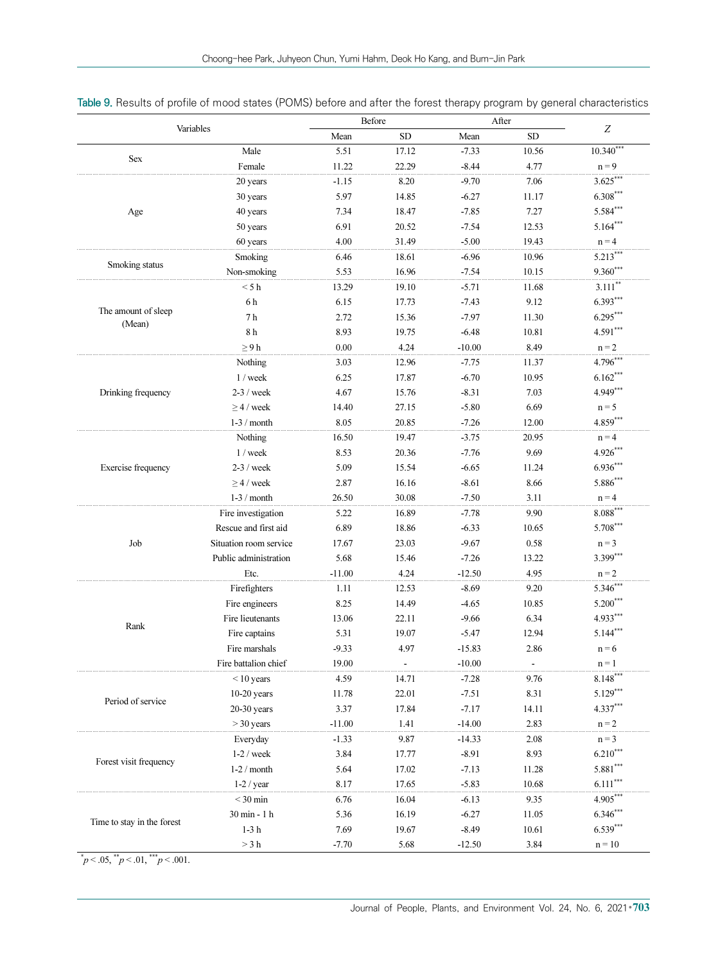| Variables                     |                        | Before   |                | After    |       |             |
|-------------------------------|------------------------|----------|----------------|----------|-------|-------------|
|                               |                        | Mean     | SD             | Mean     | SD    | Z           |
|                               | Male                   | 5.51     | 17.12          | $-7.33$  | 10.56 | $10.340***$ |
| <b>Sex</b>                    | Female                 | 11.22    | 22.29          | $-8.44$  | 4.77  | $n = 9$     |
|                               | 20 years               | $-1.15$  | 8.20           | $-9.70$  | 7.06  | $3.625***$  |
|                               | 30 years               | 5.97     | 14.85          | $-6.27$  | 11.17 | $6.308***$  |
| Age                           | 40 years               | 7.34     | 18.47          | $-7.85$  | 7.27  | $5.584***$  |
|                               | 50 years               | 6.91     | 20.52          | $-7.54$  | 12.53 | $5.164***$  |
|                               | 60 years               | 4.00     | 31.49          | $-5.00$  | 19.43 | $n = 4$     |
| Smoking status                | Smoking                | 6.46     | 18.61          | $-6.96$  | 10.96 | $5.213***$  |
|                               | Non-smoking            | 5.53     | 16.96          | $-7.54$  | 10.15 | 9.360***    |
|                               | < 5 h                  | 13.29    | 19.10          | $-5.71$  | 11.68 | $3.111***$  |
|                               | 6h                     | 6.15     | 17.73          | $-7.43$  | 9.12  | $6.393***$  |
| The amount of sleep<br>(Mean) | 7 <sub>h</sub>         | 2.72     | 15.36          | $-7.97$  | 11.30 | $6.295***$  |
|                               | 8 <sub>h</sub>         | 8.93     | 19.75          | $-6.48$  | 10.81 | $4.591***$  |
|                               | $\geq 9 h$             | 0.00     | 4.24           | $-10.00$ | 8.49  | $n = 2$     |
|                               | Nothing                | 3.03     | 12.96          | $-7.75$  | 11.37 | 4.796***    |
|                               | $1$ / week             | 6.25     | 17.87          | $-6.70$  | 10.95 | $6.162***$  |
| Drinking frequency            | $2-3$ / week           | 4.67     | 15.76          | $-8.31$  | 7.03  | 4.949***    |
|                               | $> 4$ / week           | 14.40    | 27.15          | $-5.80$  | 6.69  | $n = 5$     |
|                               | $1-3$ / month          | 8.05     | 20.85          | $-7.26$  | 12.00 | $4.859***$  |
|                               | Nothing                | 16.50    | 19.47          | $-3.75$  | 20.95 | $n = 4$     |
|                               | $1$ / week             | 8.53     | 20.36          | $-7.76$  | 9.69  | $4.926***$  |
| Exercise frequency            | $2-3$ / week           | 5.09     | 15.54          | $-6.65$  | 11.24 | $6.936***$  |
|                               | $\geq$ 4 / week        | 2.87     | 16.16          | $-8.61$  | 8.66  | 5.886***    |
|                               | $1-3$ / month          | 26.50    | 30.08          | $-7.50$  | 3.11  | $n = 4$     |
|                               | Fire investigation     | 5.22     | 16.89          | $-7.78$  | 9.90  | $8.088***$  |
|                               | Rescue and first aid   | 6.89     | 18.86          | $-6.33$  | 10.65 | 5.708***    |
| Job                           | Situation room service | 17.67    | 23.03          | $-9.67$  | 0.58  | $n = 3$     |
|                               | Public administration  | 5.68     | 15.46          | $-7.26$  | 13.22 | 3.399***    |
|                               | Etc.                   | $-11.00$ | 4.24           | $-12.50$ | 4.95  | $n = 2$     |
|                               | Firefighters           | 1.11     | 12.53          | $-8.69$  | 9.20  | $5.346***$  |
|                               | Fire engineers         | 8.25     | 14.49          | $-4.65$  | 10.85 | $5.200***$  |
| Rank                          | Fire lieutenants       | 13.06    | 22.11          | $-9.66$  | 6.34  | 4.933***    |
|                               | Fire captains          | 5.31     | 19.07          | $-5.47$  | 12.94 | $5.144***$  |
|                               | Fire marshals          | $-9.33$  | 4.97           | $-15.83$ | 2.86  | $n = 6$     |
|                               | Fire battalion chief   | 19.00    | $\blacksquare$ | $-10.00$ |       | $n = 1$     |
|                               | $<$ 10 years           | 4.59     | 14.71          | $-7.28$  | 9.76  | $8.148***$  |
| Period of service             | $10-20$ years          | 11.78    | 22.01          | $-7.51$  | 8.31  | $5.129***$  |
|                               | $20-30$ years          | 3.37     | 17.84          | $-7.17$  | 14.11 | 4.337***    |
|                               | $>$ 30 years           | $-11.00$ | 1.41           | $-14.00$ | 2.83  | $n = 2$     |
|                               | Everyday               | $-1.33$  | 9.87           | $-14.33$ | 2.08  | $n = 3$     |
| Forest visit frequency        | $1-2$ / week           | 3.84     | 17.77          | $-8.91$  | 8.93  | $6.210***$  |
|                               | $1-2$ / month          | 5.64     | 17.02          | $-7.13$  | 11.28 | $5.881***$  |
|                               | $1-2$ / year           | 8.17     | 17.65          | $-5.83$  | 10.68 | $6.111***$  |
|                               | $< 30 \ \mathrm{min}$  | 6.76     | 16.04          | $-6.13$  | 9.35  | 4.905***    |
| Time to stay in the forest    | 30 min - 1 h           | 5.36     | 16.19          | $-6.27$  | 11.05 | $6.346***$  |
|                               | $1-3h$                 | 7.69     | 19.67          | $-8.49$  | 10.61 | $6.539***$  |
|                               | $> 3 \ \rm h$          | $-7.70$  | 5.68           | $-12.50$ | 3.84  | $n = 10$    |

Table 9. Results of profile of mood states (POMS) before and after the forest therapy program by general characteristics

 $\mu^* p < .05, \mu^* p < .01, \mu^* p < .001.$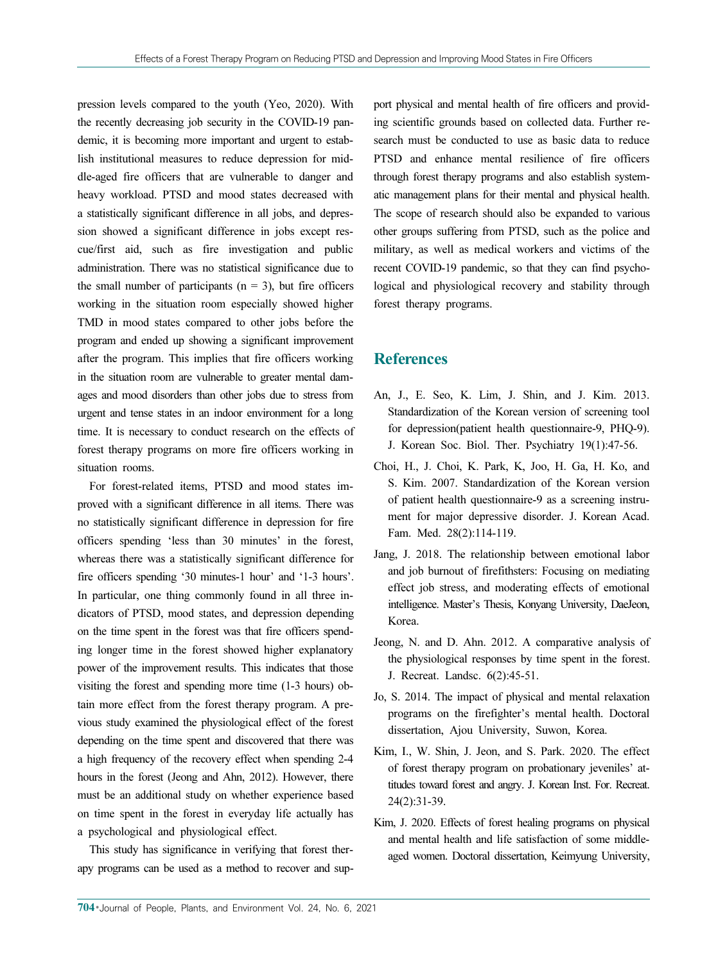pression levels compared to the youth (Yeo, 2020). With the recently decreasing job security in the COVID-19 pandemic, it is becoming more important and urgent to establish institutional measures to reduce depression for middle-aged fire officers that are vulnerable to danger and heavy workload. PTSD and mood states decreased with a statistically significant difference in all jobs, and depression showed a significant difference in jobs except rescue/first aid, such as fire investigation and public administration. There was no statistical significance due to the small number of participants  $(n = 3)$ , but fire officers working in the situation room especially showed higher TMD in mood states compared to other jobs before the program and ended up showing a significant improvement after the program. This implies that fire officers working in the situation room are vulnerable to greater mental damages and mood disorders than other jobs due to stress from urgent and tense states in an indoor environment for a long time. It is necessary to conduct research on the effects of forest therapy programs on more fire officers working in situation rooms.

For forest-related items, PTSD and mood states improved with a significant difference in all items. There was no statistically significant difference in depression for fire officers spending 'less than 30 minutes' in the forest, whereas there was a statistically significant difference for fire officers spending '30 minutes-1 hour' and '1-3 hours'. In particular, one thing commonly found in all three indicators of PTSD, mood states, and depression depending on the time spent in the forest was that fire officers spending longer time in the forest showed higher explanatory power of the improvement results. This indicates that those visiting the forest and spending more time (1-3 hours) obtain more effect from the forest therapy program. A previous study examined the physiological effect of the forest depending on the time spent and discovered that there was a high frequency of the recovery effect when spending 2-4 hours in the forest (Jeong and Ahn, 2012). However, there must be an additional study on whether experience based on time spent in the forest in everyday life actually has a psychological and physiological effect.

This study has significance in verifying that forest therapy programs can be used as a method to recover and support physical and mental health of fire officers and providing scientific grounds based on collected data. Further research must be conducted to use as basic data to reduce PTSD and enhance mental resilience of fire officers through forest therapy programs and also establish systematic management plans for their mental and physical health. The scope of research should also be expanded to various other groups suffering from PTSD, such as the police and military, as well as medical workers and victims of the recent COVID-19 pandemic, so that they can find psychological and physiological recovery and stability through forest therapy programs.

# **References**

- An, J., E. Seo, K. Lim, J. Shin, and J. Kim. 2013. Standardization of the Korean version of screening tool for depression(patient health questionnaire-9, PHQ-9). J. Korean Soc. Biol. Ther. Psychiatry 19(1):47-56.
- Choi, H., J. Choi, K. Park, K, Joo, H. Ga, H. Ko, and S. Kim. 2007. Standardization of the Korean version of patient health questionnaire-9 as a screening instrument for major depressive disorder. J. Korean Acad. Fam. Med. 28(2):114-119.
- Jang, J. 2018. The relationship between emotional labor and job burnout of firefithsters: Focusing on mediating effect job stress, and moderating effects of emotional intelligence. Master's Thesis, Konyang University, DaeJeon, Korea.
- Jeong, N. and D. Ahn. 2012. A comparative analysis of the physiological responses by time spent in the forest. J. Recreat. Landsc. 6(2):45-51.
- Jo, S. 2014. The impact of physical and mental relaxation programs on the firefighter's mental health. Doctoral dissertation, Ajou University, Suwon, Korea.
- Kim, I., W. Shin, J. Jeon, and S. Park. 2020. The effect of forest therapy program on probationary jeveniles' attitudes toward forest and angry. J. Korean Inst. For. Recreat. 24(2):31-39.
- Kim, J. 2020. Effects of forest healing programs on physical and mental health and life satisfaction of some middleaged women. Doctoral dissertation, Keimyung University,